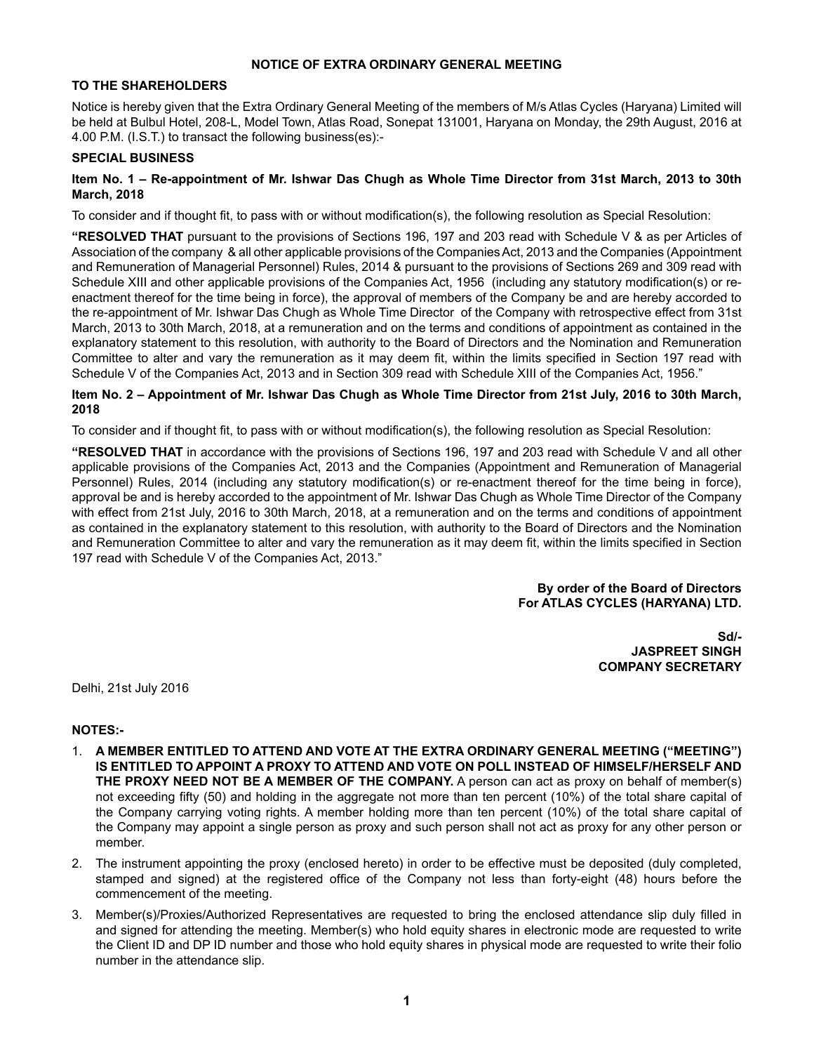### **NOTICE OF EXTRA ORDINARY GENERAL MEETING**

### **TO THE SHAREHOLDERS**

Notice is hereby given that the Extra Ordinary General Meeting of the members of M/s Atlas Cycles (Haryana) Limited will be held at Bulbul Hotel, 208-L, Model Town, Atlas Road, Sonepat 131001, Haryana on Monday, the 29th August, 2016 at 4.00 P.M. (I.S.T.) to transact the following business(es):-

### **SPECIAL BUSINESS**

### **Item No. 1 – Re-appointment of Mr. Ishwar Das Chugh as Whole Time Director from 31st March, 2013 to 30th March, 2018**

To consider and if thought fit, to pass with or without modification(s), the following resolution as Special Resolution:

**"RESOLVED THAT** pursuant to the provisions of Sections 196, 197 and 203 read with Schedule V & as per Articles of Association of the company & all other applicable provisions of the Companies Act, 2013 and the Companies (Appointment and Remuneration of Managerial Personnel) Rules, 2014 & pursuant to the provisions of Sections 269 and 309 read with Schedule XIII and other applicable provisions of the Companies Act, 1956 (including any statutory modification(s) or reenactment thereof for the time being in force), the approval of members of the Company be and are hereby accorded to the re-appointment of Mr. Ishwar Das Chugh as Whole Time Director of the Company with retrospective effect from 31st March, 2013 to 30th March, 2018, at a remuneration and on the terms and conditions of appointment as contained in the explanatory statement to this resolution, with authority to the Board of Directors and the Nomination and Remuneration Committee to alter and vary the remuneration as it may deem fit, within the limits specified in Section 197 read with Schedule V of the Companies Act, 2013 and in Section 309 read with Schedule XIII of the Companies Act, 1956."

### **Item No. 2 – Appointment of Mr. Ishwar Das Chugh as Whole Time Director from 21st July, 2016 to 30th March, 2018**

To consider and if thought fit, to pass with or without modification(s), the following resolution as Special Resolution:

**"RESOLVED THAT** in accordance with the provisions of Sections 196, 197 and 203 read with Schedule V and all other applicable provisions of the Companies Act, 2013 and the Companies (Appointment and Remuneration of Managerial Personnel) Rules, 2014 (including any statutory modification(s) or re-enactment thereof for the time being in force), approval be and is hereby accorded to the appointment of Mr. Ishwar Das Chugh as Whole Time Director of the Company with effect from 21st July, 2016 to 30th March, 2018, at a remuneration and on the terms and conditions of appointment as contained in the explanatory statement to this resolution, with authority to the Board of Directors and the Nomination and Remuneration Committee to alter and vary the remuneration as it may deem fit, within the limits specified in Section 197 read with Schedule V of the Companies Act, 2013."

### **By order of the Board of Directors For ATLAS CYCLES (HARYANA) LTD.**

**Sd/- JASPREET SINGH COMPANY SECRETARY**

Delhi, 21st July 2016

### **NOTES:-**

- 1. **A MEMBER ENTITLED TO ATTEND AND VOTE AT THE EXTRA ORDINARY GENERAL MEETING ("MEETING") IS ENTITLED TO APPOINT A PROXY TO ATTEND AND VOTE ON POLL INSTEAD OF HIMSELF/HERSELF AND THE PROXY NEED NOT BE A MEMBER OF THE COMPANY.** A person can act as proxy on behalf of member(s) not exceeding fifty (50) and holding in the aggregate not more than ten percent (10%) of the total share capital of the Company carrying voting rights. A member holding more than ten percent (10%) of the total share capital of the Company may appoint a single person as proxy and such person shall not act as proxy for any other person or member.
- 2. The instrument appointing the proxy (enclosed hereto) in order to be effective must be deposited (duly completed, stamped and signed) at the registered office of the Company not less than forty-eight (48) hours before the commencement of the meeting.
- 3. Member(s)/Proxies/Authorized Representatives are requested to bring the enclosed attendance slip duly filled in and signed for attending the meeting. Member(s) who hold equity shares in electronic mode are requested to write the Client ID and DP ID number and those who hold equity shares in physical mode are requested to write their folio number in the attendance slip.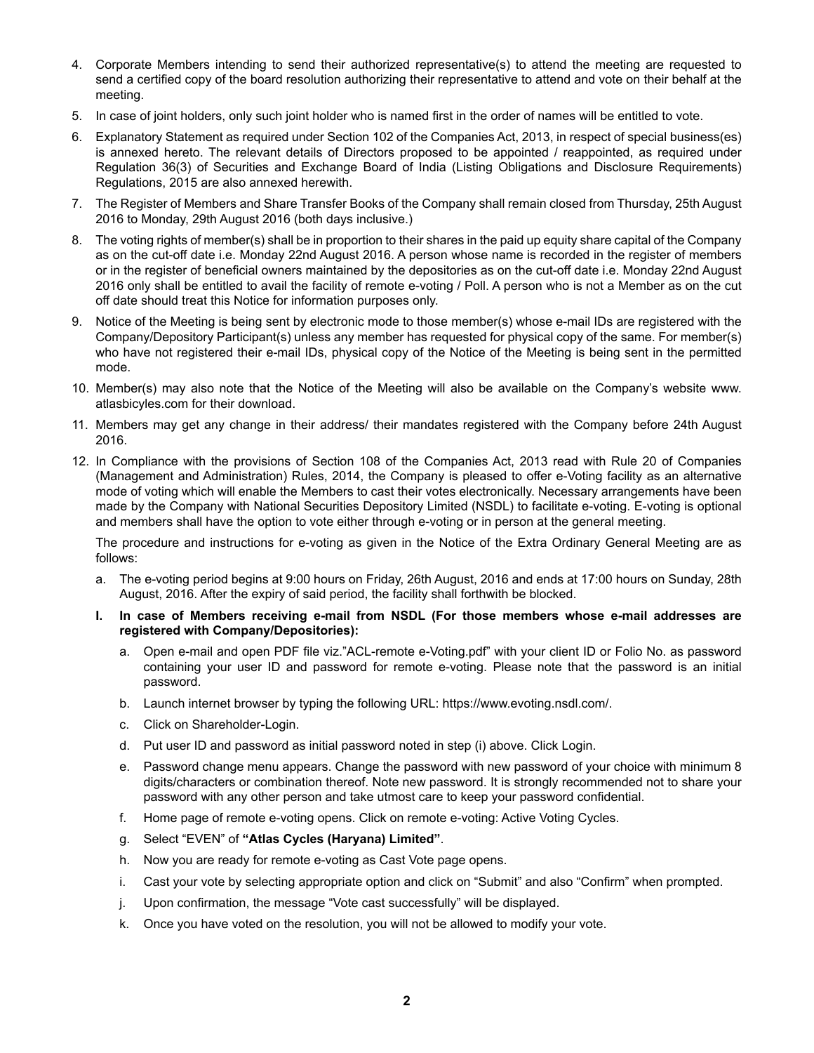- 4. Corporate Members intending to send their authorized representative(s) to attend the meeting are requested to send a certified copy of the board resolution authorizing their representative to attend and vote on their behalf at the meeting.
- 5. In case of joint holders, only such joint holder who is named first in the order of names will be entitled to vote.
- 6. Explanatory Statement as required under Section 102 of the Companies Act, 2013, in respect of special business(es) is annexed hereto. The relevant details of Directors proposed to be appointed / reappointed, as required under Regulation 36(3) of Securities and Exchange Board of India (Listing Obligations and Disclosure Requirements) Regulations, 2015 are also annexed herewith.
- 7. The Register of Members and Share Transfer Books of the Company shall remain closed from Thursday, 25th August 2016 to Monday, 29th August 2016 (both days inclusive.)
- 8. The voting rights of member(s) shall be in proportion to their shares in the paid up equity share capital of the Company as on the cut-off date i.e. Monday 22nd August 2016. A person whose name is recorded in the register of members or in the register of beneficial owners maintained by the depositories as on the cut-off date i.e. Monday 22nd August 2016 only shall be entitled to avail the facility of remote e-voting / Poll. A person who is not a Member as on the cut off date should treat this Notice for information purposes only.
- 9. Notice of the Meeting is being sent by electronic mode to those member(s) whose e-mail IDs are registered with the Company/Depository Participant(s) unless any member has requested for physical copy of the same. For member(s) who have not registered their e-mail IDs, physical copy of the Notice of the Meeting is being sent in the permitted mode.
- 10. Member(s) may also note that the Notice of the Meeting will also be available on the Company's website www. atlasbicyles.com for their download.
- 11. Members may get any change in their address/ their mandates registered with the Company before 24th August 2016.
- 12. In Compliance with the provisions of Section 108 of the Companies Act, 2013 read with Rule 20 of Companies (Management and Administration) Rules, 2014, the Company is pleased to offer e-Voting facility as an alternative mode of voting which will enable the Members to cast their votes electronically. Necessary arrangements have been made by the Company with National Securities Depository Limited (NSDL) to facilitate e-voting. E-voting is optional and members shall have the option to vote either through e-voting or in person at the general meeting.

The procedure and instructions for e-voting as given in the Notice of the Extra Ordinary General Meeting are as follows:

- a. The e-voting period begins at 9:00 hours on Friday, 26th August, 2016 and ends at 17:00 hours on Sunday, 28th August, 2016. After the expiry of said period, the facility shall forthwith be blocked.
- **I. In case of Members receiving e-mail from NSDL (For those members whose e-mail addresses are registered with Company/Depositories):**
	- a. Open e-mail and open PDF file viz."ACL-remote e-Voting.pdf" with your client ID or Folio No. as password containing your user ID and password for remote e-voting. Please note that the password is an initial password.
	- b. Launch internet browser by typing the following URL: https://www.evoting.nsdl.com/.
	- c. Click on Shareholder-Login.
	- d. Put user ID and password as initial password noted in step (i) above. Click Login.
	- e. Password change menu appears. Change the password with new password of your choice with minimum 8 digits/characters or combination thereof. Note new password. It is strongly recommended not to share your password with any other person and take utmost care to keep your password confidential.
	- f. Home page of remote e-voting opens. Click on remote e-voting: Active Voting Cycles.
	- g. Select "EVEN" of **"Atlas Cycles (Haryana) Limited"**.
	- h. Now you are ready for remote e-voting as Cast Vote page opens.
	- i. Cast your vote by selecting appropriate option and click on "Submit" and also "Confirm" when prompted.
	- j. Upon confirmation, the message "Vote cast successfully" will be displayed.
	- k. Once you have voted on the resolution, you will not be allowed to modify your vote.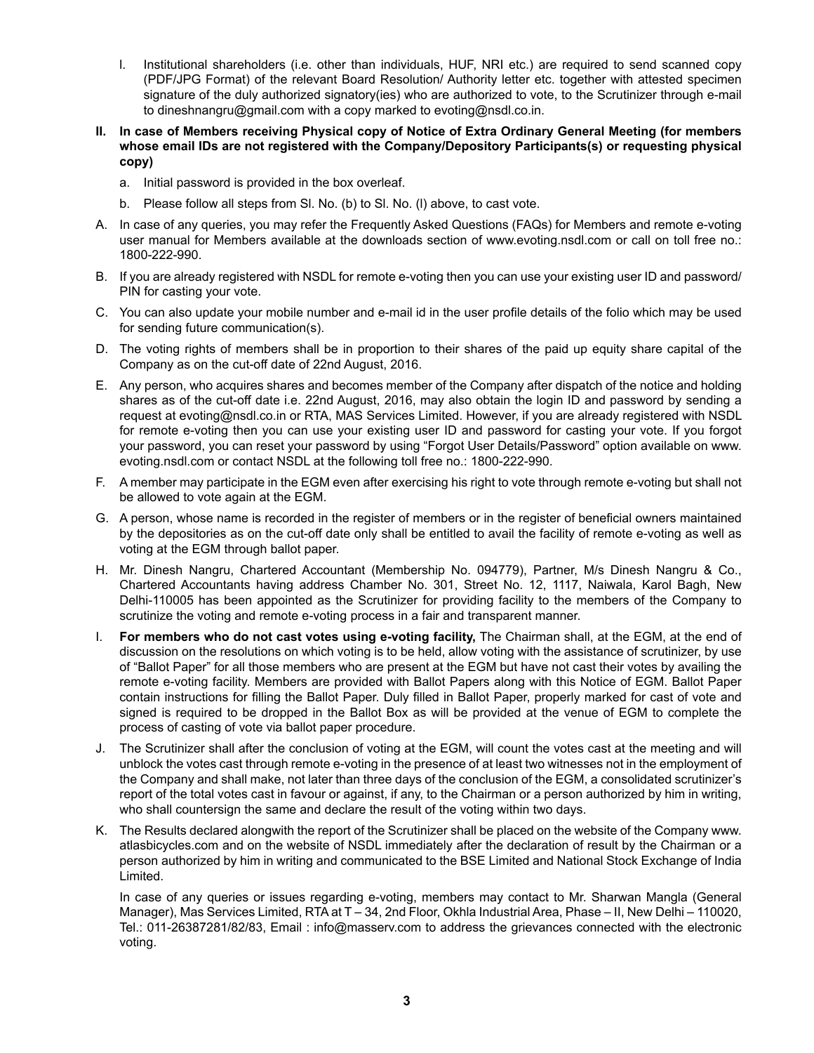- l. Institutional shareholders (i.e. other than individuals, HUF, NRI etc.) are required to send scanned copy (PDF/JPG Format) of the relevant Board Resolution/ Authority letter etc. together with attested specimen signature of the duly authorized signatory(ies) who are authorized to vote, to the Scrutinizer through e-mail to dineshnangru@gmail.com with a copy marked to evoting@nsdl.co.in.
- **II. In case of Members receiving Physical copy of Notice of Extra Ordinary General Meeting (for members whose email IDs are not registered with the Company/Depository Participants(s) or requesting physical copy)**
	- a. Initial password is provided in the box overleaf.
	- b. Please follow all steps from Sl. No. (b) to Sl. No. (l) above, to cast vote.
- A. In case of any queries, you may refer the Frequently Asked Questions (FAQs) for Members and remote e-voting user manual for Members available at the downloads section of www.evoting.nsdl.com or call on toll free no.: 1800-222-990.
- B. If you are already registered with NSDL for remote e-voting then you can use your existing user ID and password/ PIN for casting your vote.
- C. You can also update your mobile number and e-mail id in the user profile details of the folio which may be used for sending future communication(s).
- D. The voting rights of members shall be in proportion to their shares of the paid up equity share capital of the Company as on the cut-off date of 22nd August, 2016.
- E. Any person, who acquires shares and becomes member of the Company after dispatch of the notice and holding shares as of the cut-off date i.e. 22nd August, 2016, may also obtain the login ID and password by sending a request at evoting@nsdl.co.in or RTA, MAS Services Limited. However, if you are already registered with NSDL for remote e-voting then you can use your existing user ID and password for casting your vote. If you forgot your password, you can reset your password by using "Forgot User Details/Password" option available on www. evoting.nsdl.com or contact NSDL at the following toll free no.: 1800-222-990.
- F. A member may participate in the EGM even after exercising his right to vote through remote e-voting but shall not be allowed to vote again at the EGM.
- G. A person, whose name is recorded in the register of members or in the register of beneficial owners maintained by the depositories as on the cut-off date only shall be entitled to avail the facility of remote e-voting as well as voting at the EGM through ballot paper.
- H. Mr. Dinesh Nangru, Chartered Accountant (Membership No. 094779), Partner, M/s Dinesh Nangru & Co., Chartered Accountants having address Chamber No. 301, Street No. 12, 1117, Naiwala, Karol Bagh, New Delhi-110005 has been appointed as the Scrutinizer for providing facility to the members of the Company to scrutinize the voting and remote e-voting process in a fair and transparent manner.
- I. **For members who do not cast votes using e-voting facility,** The Chairman shall, at the EGM, at the end of discussion on the resolutions on which voting is to be held, allow voting with the assistance of scrutinizer, by use of "Ballot Paper" for all those members who are present at the EGM but have not cast their votes by availing the remote e-voting facility. Members are provided with Ballot Papers along with this Notice of EGM. Ballot Paper contain instructions for filling the Ballot Paper. Duly filled in Ballot Paper, properly marked for cast of vote and signed is required to be dropped in the Ballot Box as will be provided at the venue of EGM to complete the process of casting of vote via ballot paper procedure.
- J. The Scrutinizer shall after the conclusion of voting at the EGM, will count the votes cast at the meeting and will unblock the votes cast through remote e-voting in the presence of at least two witnesses not in the employment of the Company and shall make, not later than three days of the conclusion of the EGM, a consolidated scrutinizer's report of the total votes cast in favour or against, if any, to the Chairman or a person authorized by him in writing, who shall countersign the same and declare the result of the voting within two days.
- K. The Results declared alongwith the report of the Scrutinizer shall be placed on the website of the Company www. atlasbicycles.com and on the website of NSDL immediately after the declaration of result by the Chairman or a person authorized by him in writing and communicated to the BSE Limited and National Stock Exchange of India Limited.

In case of any queries or issues regarding e-voting, members may contact to Mr. Sharwan Mangla (General Manager), Mas Services Limited, RTA at T – 34, 2nd Floor, Okhla Industrial Area, Phase – II, New Delhi – 110020, Tel.: 011-26387281/82/83, Email : info@masserv.com to address the grievances connected with the electronic voting.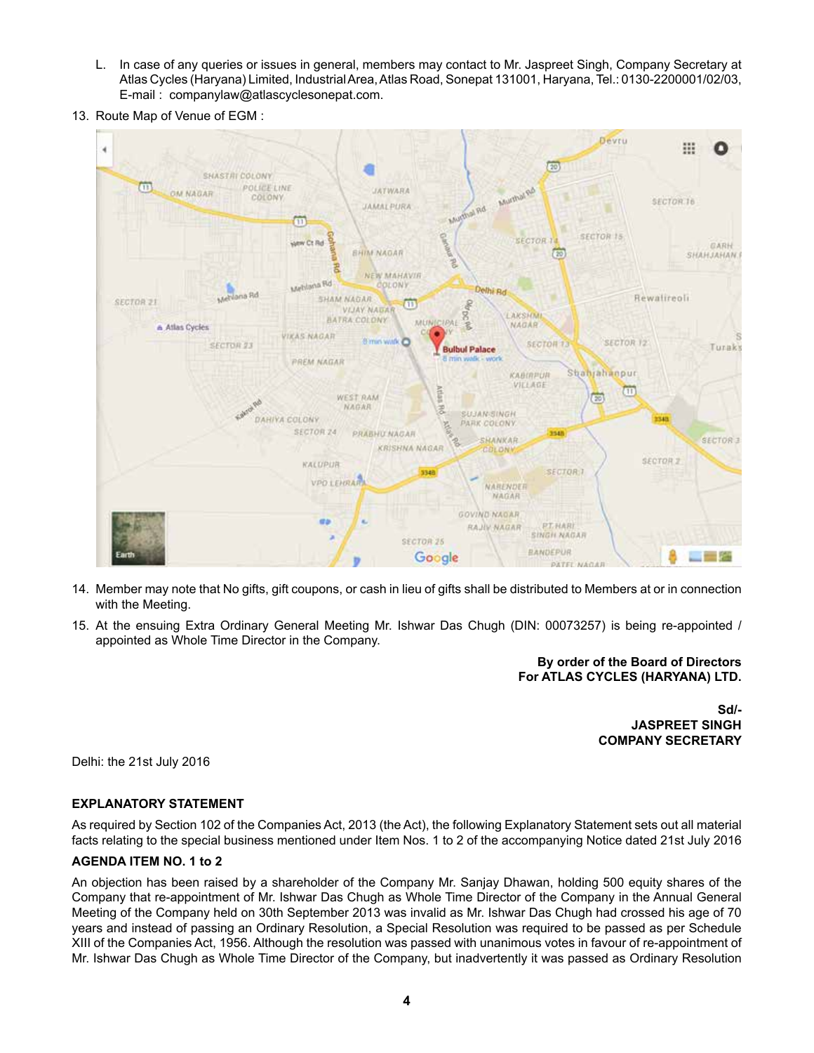- L. In case of any queries or issues in general, members may contact to Mr. Jaspreet Singh, Company Secretary at Atlas Cycles (Haryana) Limited, Industrial Area, Atlas Road, Sonepat 131001, Haryana, Tel.: 0130-2200001/02/03, E-mail : companylaw@atlascyclesonepat.com.
- 13. Route Map of Venue of EGM :



- 14. Member may note that No gifts, gift coupons, or cash in lieu of gifts shall be distributed to Members at or in connection with the Meeting.
- 15. At the ensuing Extra Ordinary General Meeting Mr. Ishwar Das Chugh (DIN: 00073257) is being re-appointed / appointed as Whole Time Director in the Company.

**By order of the Board of Directors For ATLAS CYCLES (HARYANA) LTD.**

> **Sd/- JASPREET SINGH COMPANY SECRETARY**

Delhi: the 21st July 2016

### **EXPLANATORY STATEMENT**

As required by Section 102 of the Companies Act, 2013 (the Act), the following Explanatory Statement sets out all material facts relating to the special business mentioned under Item Nos. 1 to 2 of the accompanying Notice dated 21st July 2016

### **AGENDA ITEM NO. 1 to 2**

An objection has been raised by a shareholder of the Company Mr. Sanjay Dhawan, holding 500 equity shares of the Company that re-appointment of Mr. Ishwar Das Chugh as Whole Time Director of the Company in the Annual General Meeting of the Company held on 30th September 2013 was invalid as Mr. Ishwar Das Chugh had crossed his age of 70 years and instead of passing an Ordinary Resolution, a Special Resolution was required to be passed as per Schedule XIII of the Companies Act, 1956. Although the resolution was passed with unanimous votes in favour of re-appointment of Mr. Ishwar Das Chugh as Whole Time Director of the Company, but inadvertently it was passed as Ordinary Resolution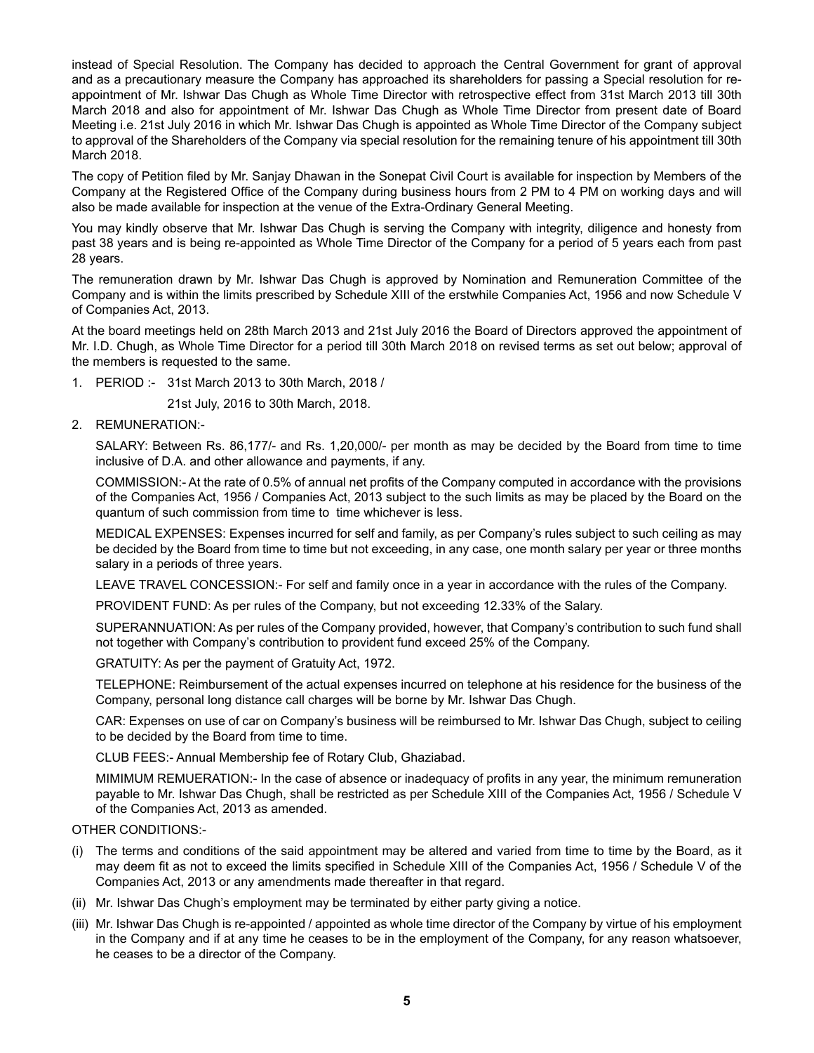instead of Special Resolution. The Company has decided to approach the Central Government for grant of approval and as a precautionary measure the Company has approached its shareholders for passing a Special resolution for reappointment of Mr. Ishwar Das Chugh as Whole Time Director with retrospective effect from 31st March 2013 till 30th March 2018 and also for appointment of Mr. Ishwar Das Chugh as Whole Time Director from present date of Board Meeting i.e. 21st July 2016 in which Mr. Ishwar Das Chugh is appointed as Whole Time Director of the Company subject to approval of the Shareholders of the Company via special resolution for the remaining tenure of his appointment till 30th March 2018.

The copy of Petition filed by Mr. Sanjay Dhawan in the Sonepat Civil Court is available for inspection by Members of the Company at the Registered Office of the Company during business hours from 2 PM to 4 PM on working days and will also be made available for inspection at the venue of the Extra-Ordinary General Meeting.

You may kindly observe that Mr. Ishwar Das Chugh is serving the Company with integrity, diligence and honesty from past 38 years and is being re-appointed as Whole Time Director of the Company for a period of 5 years each from past 28 years.

The remuneration drawn by Mr. Ishwar Das Chugh is approved by Nomination and Remuneration Committee of the Company and is within the limits prescribed by Schedule XIII of the erstwhile Companies Act, 1956 and now Schedule V of Companies Act, 2013.

At the board meetings held on 28th March 2013 and 21st July 2016 the Board of Directors approved the appointment of Mr. I.D. Chugh, as Whole Time Director for a period till 30th March 2018 on revised terms as set out below; approval of the members is requested to the same.

1. PERIOD :- 31st March 2013 to 30th March, 2018 /

21st July, 2016 to 30th March, 2018.

2. REMUNERATION:-

SALARY: Between Rs. 86,177/- and Rs. 1,20,000/- per month as may be decided by the Board from time to time inclusive of D.A. and other allowance and payments, if any.

COMMISSION:- At the rate of 0.5% of annual net profits of the Company computed in accordance with the provisions of the Companies Act, 1956 / Companies Act, 2013 subject to the such limits as may be placed by the Board on the quantum of such commission from time to time whichever is less.

MEDICAL EXPENSES: Expenses incurred for self and family, as per Company's rules subject to such ceiling as may be decided by the Board from time to time but not exceeding, in any case, one month salary per year or three months salary in a periods of three years.

LEAVE TRAVEL CONCESSION:- For self and family once in a year in accordance with the rules of the Company.

PROVIDENT FUND: As per rules of the Company, but not exceeding 12.33% of the Salary.

SUPERANNUATION: As per rules of the Company provided, however, that Company's contribution to such fund shall not together with Company's contribution to provident fund exceed 25% of the Company.

GRATUITY: As per the payment of Gratuity Act, 1972.

TELEPHONE: Reimbursement of the actual expenses incurred on telephone at his residence for the business of the Company, personal long distance call charges will be borne by Mr. Ishwar Das Chugh.

CAR: Expenses on use of car on Company's business will be reimbursed to Mr. Ishwar Das Chugh, subject to ceiling to be decided by the Board from time to time.

CLUB FEES:- Annual Membership fee of Rotary Club, Ghaziabad.

MIMIMUM REMUERATION:- In the case of absence or inadequacy of profits in any year, the minimum remuneration payable to Mr. Ishwar Das Chugh, shall be restricted as per Schedule XIII of the Companies Act, 1956 / Schedule V of the Companies Act, 2013 as amended.

OTHER CONDITIONS:-

- (i) The terms and conditions of the said appointment may be altered and varied from time to time by the Board, as it may deem fit as not to exceed the limits specified in Schedule XIII of the Companies Act, 1956 / Schedule V of the Companies Act, 2013 or any amendments made thereafter in that regard.
- (ii) Mr. Ishwar Das Chugh's employment may be terminated by either party giving a notice.
- (iii) Mr. Ishwar Das Chugh is re-appointed / appointed as whole time director of the Company by virtue of his employment in the Company and if at any time he ceases to be in the employment of the Company, for any reason whatsoever, he ceases to be a director of the Company.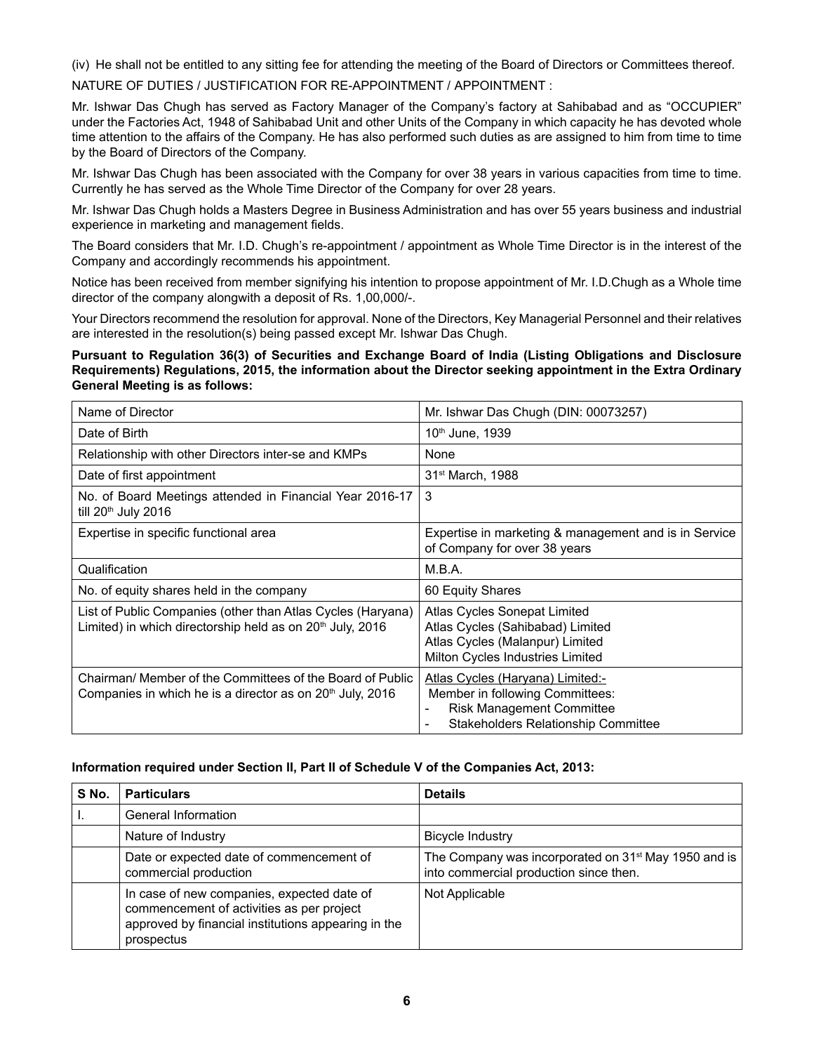(iv) He shall not be entitled to any sitting fee for attending the meeting of the Board of Directors or Committees thereof.

NATURE OF DUTIES / JUSTIFICATION FOR RE-APPOINTMENT / APPOINTMENT :

Mr. Ishwar Das Chugh has served as Factory Manager of the Company's factory at Sahibabad and as "OCCUPIER" under the Factories Act, 1948 of Sahibabad Unit and other Units of the Company in which capacity he has devoted whole time attention to the affairs of the Company. He has also performed such duties as are assigned to him from time to time by the Board of Directors of the Company.

Mr. Ishwar Das Chugh has been associated with the Company for over 38 years in various capacities from time to time. Currently he has served as the Whole Time Director of the Company for over 28 years.

Mr. Ishwar Das Chugh holds a Masters Degree in Business Administration and has over 55 years business and industrial experience in marketing and management fields.

The Board considers that Mr. I.D. Chugh's re-appointment / appointment as Whole Time Director is in the interest of the Company and accordingly recommends his appointment.

Notice has been received from member signifying his intention to propose appointment of Mr. I.D.Chugh as a Whole time director of the company alongwith a deposit of Rs. 1,00,000/-.

Your Directors recommend the resolution for approval. None of the Directors, Key Managerial Personnel and their relatives are interested in the resolution(s) being passed except Mr. Ishwar Das Chugh.

### **Pursuant to Regulation 36(3) of Securities and Exchange Board of India (Listing Obligations and Disclosure Requirements) Regulations, 2015, the information about the Director seeking appointment in the Extra Ordinary General Meeting is as follows:**

| Name of Director                                                                                                                     | Mr. Ishwar Das Chugh (DIN: 00073257)                                                                                                                       |
|--------------------------------------------------------------------------------------------------------------------------------------|------------------------------------------------------------------------------------------------------------------------------------------------------------|
| Date of Birth                                                                                                                        | 10th June, 1939                                                                                                                                            |
| Relationship with other Directors inter-se and KMPs                                                                                  | None                                                                                                                                                       |
| Date of first appointment                                                                                                            | 31 <sup>st</sup> March, 1988                                                                                                                               |
| No. of Board Meetings attended in Financial Year 2016-17<br>till 20 <sup>th</sup> July 2016                                          | 3                                                                                                                                                          |
| Expertise in specific functional area                                                                                                | Expertise in marketing & management and is in Service<br>of Company for over 38 years                                                                      |
| Qualification                                                                                                                        | M.B.A.                                                                                                                                                     |
| No. of equity shares held in the company                                                                                             | 60 Equity Shares                                                                                                                                           |
| List of Public Companies (other than Atlas Cycles (Haryana)<br>Limited) in which directorship held as on 20 <sup>th</sup> July, 2016 | Atlas Cycles Sonepat Limited<br>Atlas Cycles (Sahibabad) Limited<br>Atlas Cycles (Malanpur) Limited<br>Milton Cycles Industries Limited                    |
| Chairman/ Member of the Committees of the Board of Public<br>Companies in which he is a director as on 20 <sup>th</sup> July, 2016   | Atlas Cycles (Haryana) Limited:-<br>Member in following Committees:<br><b>Risk Management Committee</b><br>٠<br><b>Stakeholders Relationship Committee</b> |

### **Information required under Section II, Part II of Schedule V of the Companies Act, 2013:**

| S No. | <b>Particulars</b>                                                                                                                                           | <b>Details</b>                                                                                             |
|-------|--------------------------------------------------------------------------------------------------------------------------------------------------------------|------------------------------------------------------------------------------------------------------------|
|       | General Information                                                                                                                                          |                                                                                                            |
|       | Nature of Industry                                                                                                                                           | Bicycle Industry                                                                                           |
|       | Date or expected date of commencement of<br>commercial production                                                                                            | The Company was incorporated on 31 <sup>st</sup> May 1950 and is<br>into commercial production since then. |
|       | In case of new companies, expected date of<br>commencement of activities as per project<br>approved by financial institutions appearing in the<br>prospectus | Not Applicable                                                                                             |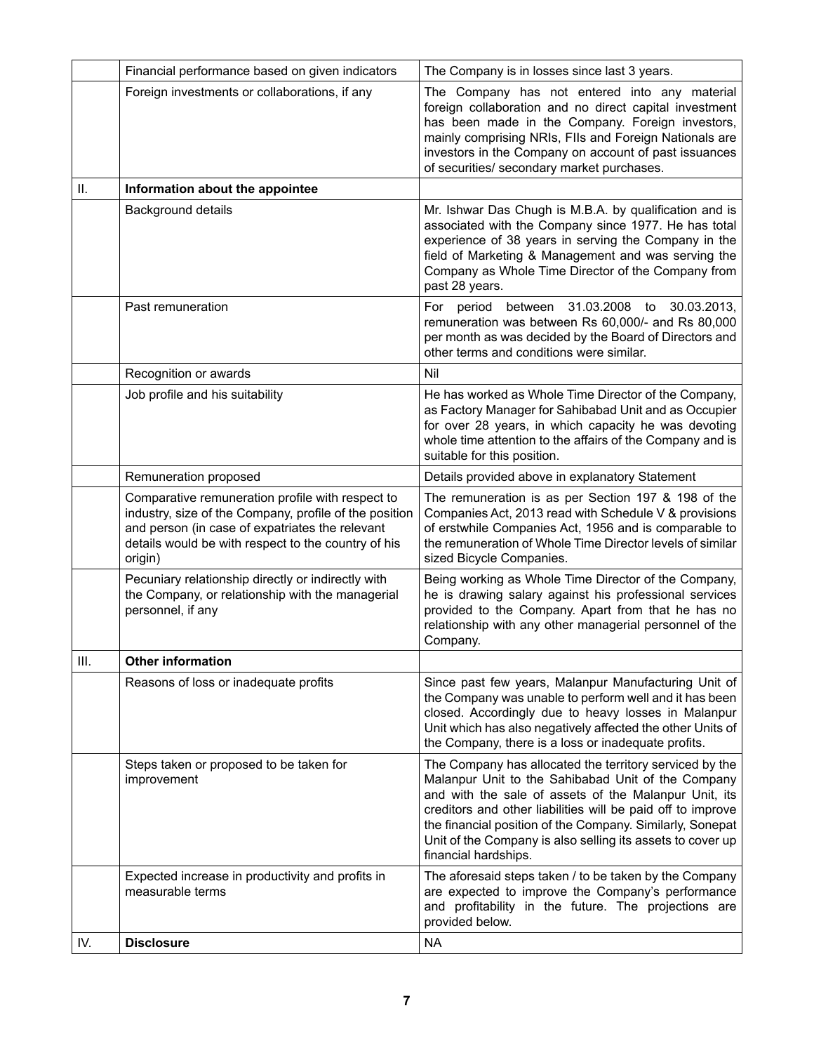|      | Financial performance based on given indicators                                                                                                                                                                                 | The Company is in losses since last 3 years.                                                                                                                                                                                                                                                                                                                                             |  |  |
|------|---------------------------------------------------------------------------------------------------------------------------------------------------------------------------------------------------------------------------------|------------------------------------------------------------------------------------------------------------------------------------------------------------------------------------------------------------------------------------------------------------------------------------------------------------------------------------------------------------------------------------------|--|--|
|      | Foreign investments or collaborations, if any                                                                                                                                                                                   | The Company has not entered into any material<br>foreign collaboration and no direct capital investment<br>has been made in the Company. Foreign investors,<br>mainly comprising NRIs, FIIs and Foreign Nationals are<br>investors in the Company on account of past issuances<br>of securities/ secondary market purchases.                                                             |  |  |
| ΙΙ.  | Information about the appointee                                                                                                                                                                                                 |                                                                                                                                                                                                                                                                                                                                                                                          |  |  |
|      | Background details                                                                                                                                                                                                              | Mr. Ishwar Das Chugh is M.B.A. by qualification and is<br>associated with the Company since 1977. He has total<br>experience of 38 years in serving the Company in the<br>field of Marketing & Management and was serving the<br>Company as Whole Time Director of the Company from<br>past 28 years.                                                                                    |  |  |
|      | Past remuneration                                                                                                                                                                                                               | For period between 31.03.2008 to 30.03.2013,<br>remuneration was between Rs 60,000/- and Rs 80,000<br>per month as was decided by the Board of Directors and<br>other terms and conditions were similar.                                                                                                                                                                                 |  |  |
|      | Recognition or awards                                                                                                                                                                                                           | Nil                                                                                                                                                                                                                                                                                                                                                                                      |  |  |
|      | Job profile and his suitability                                                                                                                                                                                                 | He has worked as Whole Time Director of the Company,<br>as Factory Manager for Sahibabad Unit and as Occupier<br>for over 28 years, in which capacity he was devoting<br>whole time attention to the affairs of the Company and is<br>suitable for this position.                                                                                                                        |  |  |
|      | Remuneration proposed                                                                                                                                                                                                           | Details provided above in explanatory Statement                                                                                                                                                                                                                                                                                                                                          |  |  |
|      | Comparative remuneration profile with respect to<br>industry, size of the Company, profile of the position<br>and person (in case of expatriates the relevant<br>details would be with respect to the country of his<br>origin) | The remuneration is as per Section 197 & 198 of the<br>Companies Act, 2013 read with Schedule V & provisions<br>of erstwhile Companies Act, 1956 and is comparable to<br>the remuneration of Whole Time Director levels of similar<br>sized Bicycle Companies.                                                                                                                           |  |  |
|      | Pecuniary relationship directly or indirectly with<br>the Company, or relationship with the managerial<br>personnel, if any                                                                                                     | Being working as Whole Time Director of the Company,<br>he is drawing salary against his professional services<br>provided to the Company. Apart from that he has no<br>relationship with any other managerial personnel of the<br>Company.                                                                                                                                              |  |  |
| III. | <b>Other information</b>                                                                                                                                                                                                        |                                                                                                                                                                                                                                                                                                                                                                                          |  |  |
|      | Reasons of loss or inadequate profits                                                                                                                                                                                           | Since past few years, Malanpur Manufacturing Unit of<br>the Company was unable to perform well and it has been<br>closed. Accordingly due to heavy losses in Malanpur<br>Unit which has also negatively affected the other Units of<br>the Company, there is a loss or inadequate profits.                                                                                               |  |  |
|      | Steps taken or proposed to be taken for<br>improvement                                                                                                                                                                          | The Company has allocated the territory serviced by the<br>Malanpur Unit to the Sahibabad Unit of the Company<br>and with the sale of assets of the Malanpur Unit, its<br>creditors and other liabilities will be paid off to improve<br>the financial position of the Company. Similarly, Sonepat<br>Unit of the Company is also selling its assets to cover up<br>financial hardships. |  |  |
|      | Expected increase in productivity and profits in<br>measurable terms                                                                                                                                                            | The aforesaid steps taken / to be taken by the Company<br>are expected to improve the Company's performance<br>and profitability in the future. The projections are<br>provided below.                                                                                                                                                                                                   |  |  |
| IV.  | <b>Disclosure</b>                                                                                                                                                                                                               | <b>NA</b>                                                                                                                                                                                                                                                                                                                                                                                |  |  |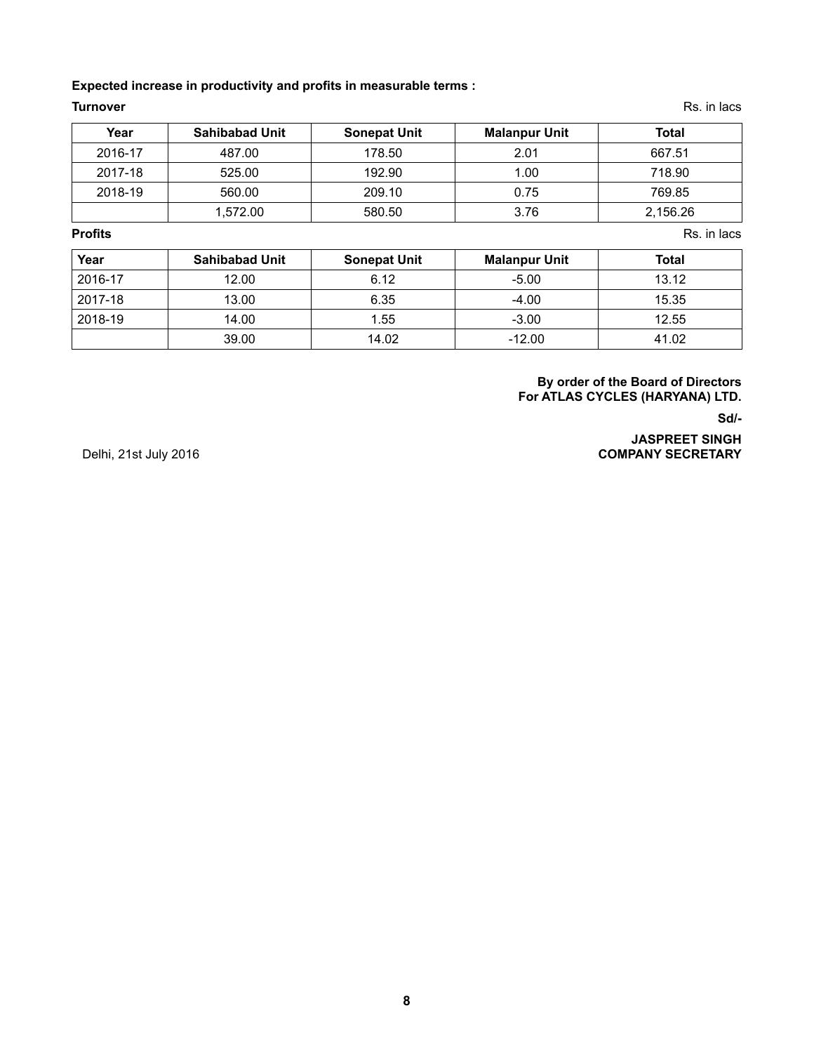### **Expected increase in productivity and profits in measurable terms :**

**Turnover** Rs. in lacs **Research American Controller Controller** Rs. in lacs **Rs. in lacs** 

| Year    | <b>Sahibabad Unit</b> | <b>Sonepat Unit</b> | <b>Malanpur Unit</b> | Total    |
|---------|-----------------------|---------------------|----------------------|----------|
| 2016-17 | 487.00                | 178.50              | 2.01                 | 667.51   |
| 2017-18 | 525.00                | 192.90              | 1.00                 | 718.90   |
| 2018-19 | 560.00                | 209.10              | 0.75                 | 769.85   |
|         | 1,572.00              | 580.50              | 3.76                 | 2,156.26 |

**Profits** Rs. in lacs **RS. in lacs we have a set of the contract of the contract of the contract of the contract of the contract of the contract of the contract of the contract of the contract of the contract of the contra** 

| Year    | <b>Sahibabad Unit</b> | <b>Sonepat Unit</b> | <b>Malanpur Unit</b> | Total |
|---------|-----------------------|---------------------|----------------------|-------|
| 2016-17 | 12.00                 | 6.12                | $-5.00$              | 13.12 |
| 2017-18 | 13.00                 | 6.35                | $-4.00$              | 15.35 |
| 2018-19 | 14.00                 | 1.55                | $-3.00$              | 12.55 |
|         | 39.00                 | 14.02               | $-12.00$             | 41.02 |

### **By order of the Board of Directors For ATLAS CYCLES (HARYANA) LTD.**

**Sd/-**

**JASPREET SINGH** Delhi, 21st July 2016 **COMPANY SECRETARY**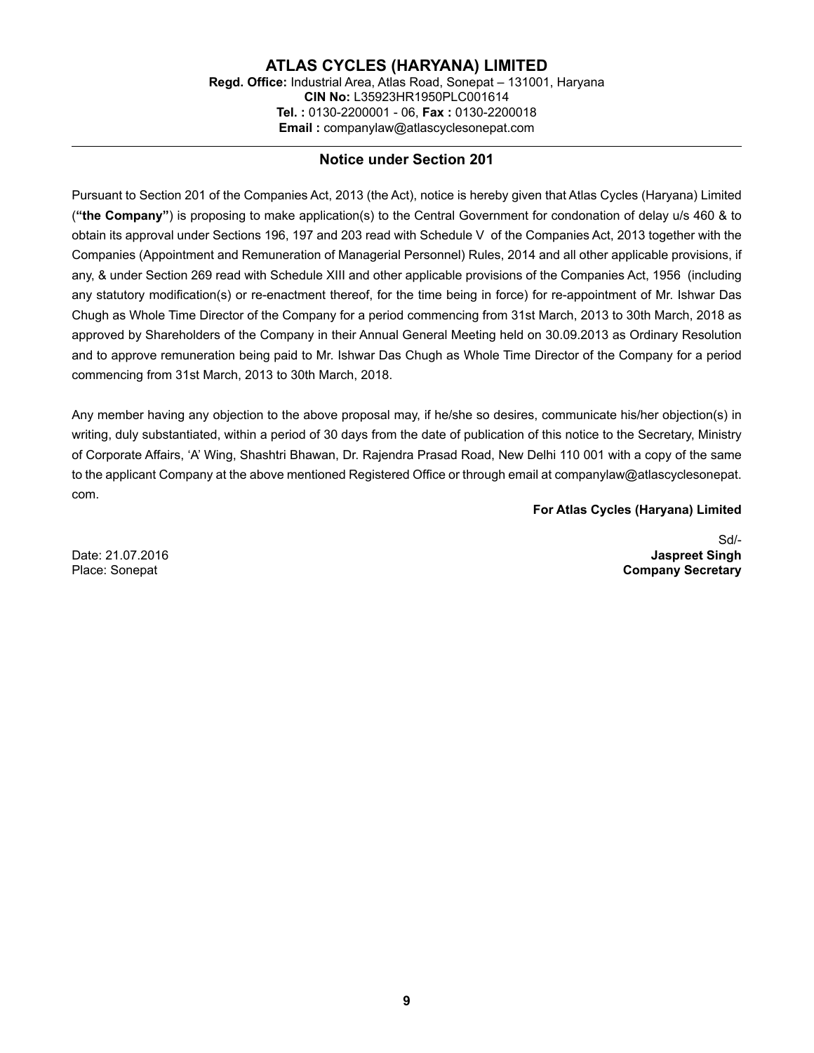**ATLAS CYCLES (HARYANA) LIMITED Regd. Office:** Industrial Area, Atlas Road, Sonepat – 131001, Haryana **CIN No:** L35923HR1950PLC001614 **Tel. :** 0130-2200001 - 06, **Fax :** 0130-2200018 **Email :** companylaw@atlascyclesonepat.com

### **Notice under Section 201**

Pursuant to Section 201 of the Companies Act, 2013 (the Act), notice is hereby given that Atlas Cycles (Haryana) Limited (**"the Company"**) is proposing to make application(s) to the Central Government for condonation of delay u/s 460 & to obtain its approval under Sections 196, 197 and 203 read with Schedule V of the Companies Act, 2013 together with the Companies (Appointment and Remuneration of Managerial Personnel) Rules, 2014 and all other applicable provisions, if any, & under Section 269 read with Schedule XIII and other applicable provisions of the Companies Act, 1956 (including any statutory modification(s) or re-enactment thereof, for the time being in force) for re-appointment of Mr. Ishwar Das Chugh as Whole Time Director of the Company for a period commencing from 31st March, 2013 to 30th March, 2018 as approved by Shareholders of the Company in their Annual General Meeting held on 30.09.2013 as Ordinary Resolution and to approve remuneration being paid to Mr. Ishwar Das Chugh as Whole Time Director of the Company for a period commencing from 31st March, 2013 to 30th March, 2018.

Any member having any objection to the above proposal may, if he/she so desires, communicate his/her objection(s) in writing, duly substantiated, within a period of 30 days from the date of publication of this notice to the Secretary, Ministry of Corporate Affairs, 'A' Wing, Shashtri Bhawan, Dr. Rajendra Prasad Road, New Delhi 110 001 with a copy of the same to the applicant Company at the above mentioned Registered Office or through email at companylaw@atlascyclesonepat. com.

### **For Atlas Cycles (Haryana) Limited**

Sd/- Date: 21.07.2016 **Jaspreet Singh Company Secretary**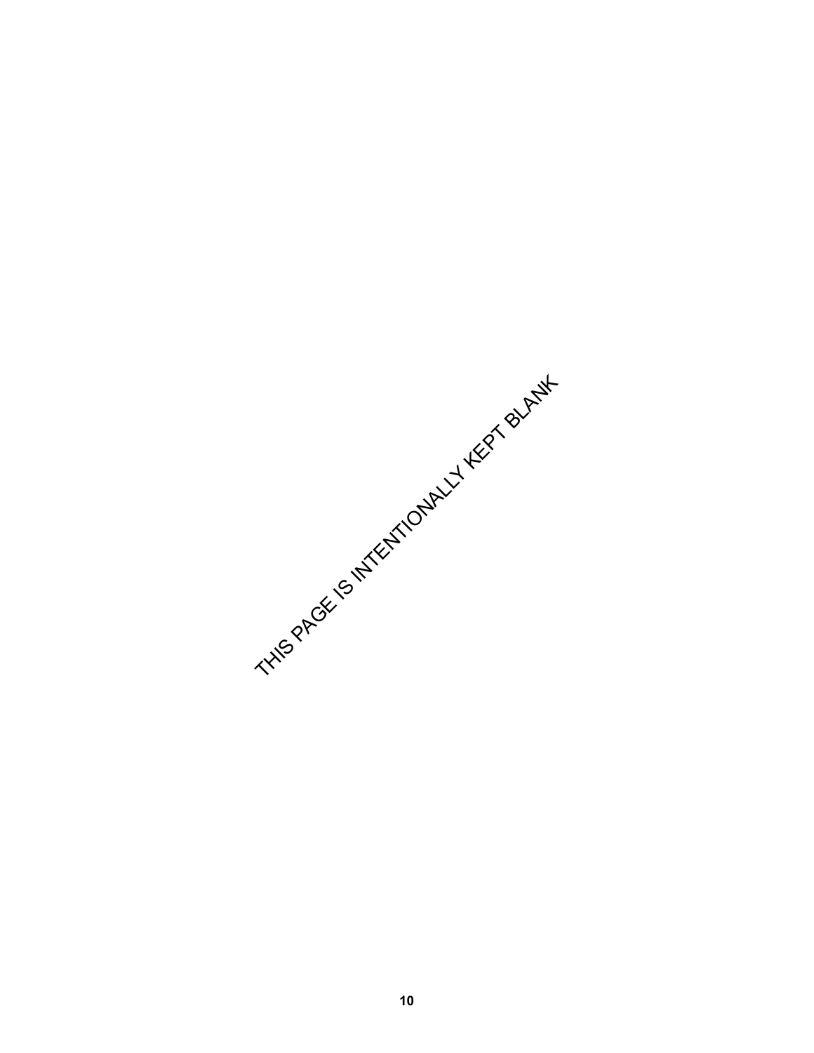THIS PAGE 15 INTERNATIONALLY KEPT BLANK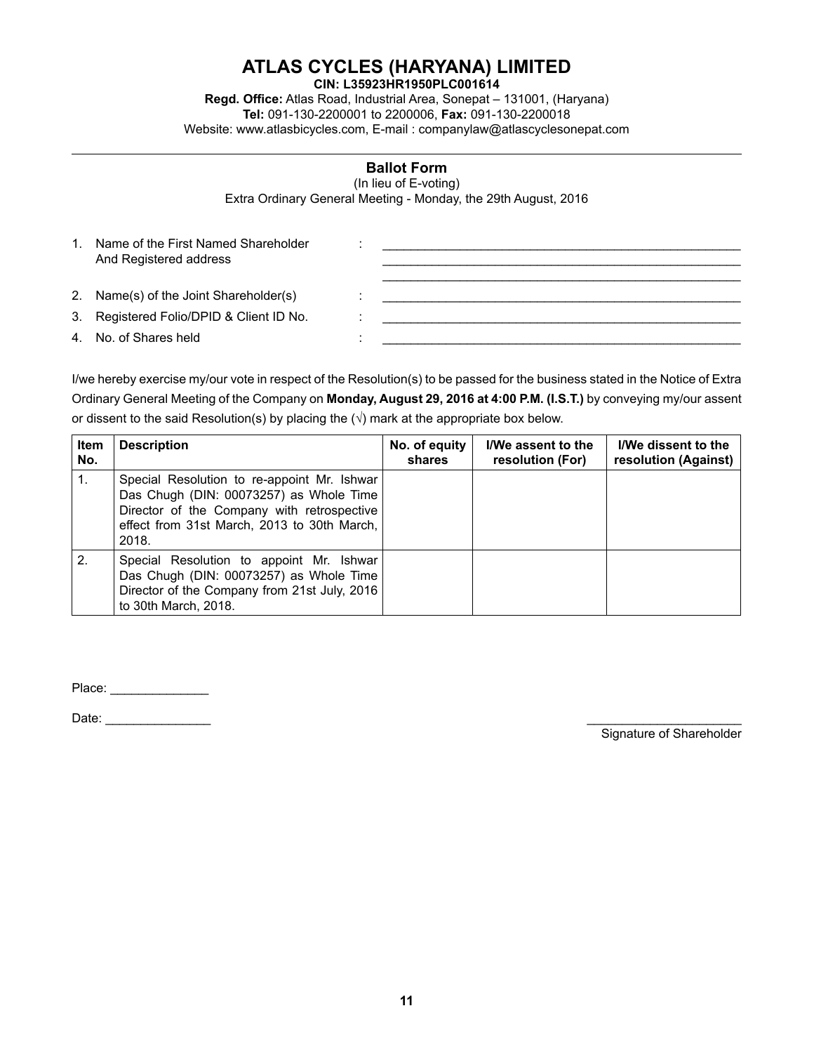# **ATLAS CYCLES (HARYANA) LIMITED**

**CIN: L35923HR1950PLC001614**

**Regd. Office:** Atlas Road, Industrial Area, Sonepat – 131001, (Haryana) **Tel:** 091-130-2200001 to 2200006, **Fax:** 091-130-2200018 Website: www.atlasbicycles.com, E-mail : companylaw@atlascyclesonepat.com

### **Ballot Form**

(In lieu of E-voting) Extra Ordinary General Meeting - Monday, the 29th August, 2016

| 1 | Name of the First Named Shareholder<br>And Registered address |  |
|---|---------------------------------------------------------------|--|
|   |                                                               |  |
|   | 2. Name(s) of the Joint Shareholder(s)                        |  |
|   | 3. Registered Folio/DPID & Client ID No.                      |  |
|   | 4. No. of Shares held                                         |  |

I/we hereby exercise my/our vote in respect of the Resolution(s) to be passed for the business stated in the Notice of Extra Ordinary General Meeting of the Company on **Monday, August 29, 2016 at 4:00 P.M. (I.S.T.)** by conveying my/our assent or dissent to the said Resolution(s) by placing the  $(\sqrt{})$  mark at the appropriate box below.

| Item<br>No. | <b>Description</b>                                                                                                                                                                           | No. of equity<br>shares | I/We assent to the<br>resolution (For) | I/We dissent to the<br>resolution (Against) |
|-------------|----------------------------------------------------------------------------------------------------------------------------------------------------------------------------------------------|-------------------------|----------------------------------------|---------------------------------------------|
| 1.          | Special Resolution to re-appoint Mr. Ishwar<br>Das Chugh (DIN: 00073257) as Whole Time<br>Director of the Company with retrospective<br>effect from 31st March, 2013 to 30th March,<br>2018. |                         |                                        |                                             |
| 2.          | Special Resolution to appoint Mr. Ishwar<br>Das Chugh (DIN: 00073257) as Whole Time<br>Director of the Company from 21st July, 2016<br>to 30th March, 2018.                                  |                         |                                        |                                             |

Place: \_\_\_\_\_\_\_\_\_\_\_\_\_\_

Date: \_\_\_\_\_\_\_\_\_\_\_\_\_\_\_ \_\_\_\_\_\_\_\_\_\_\_\_\_\_\_\_\_\_\_\_\_\_

Signature of Shareholder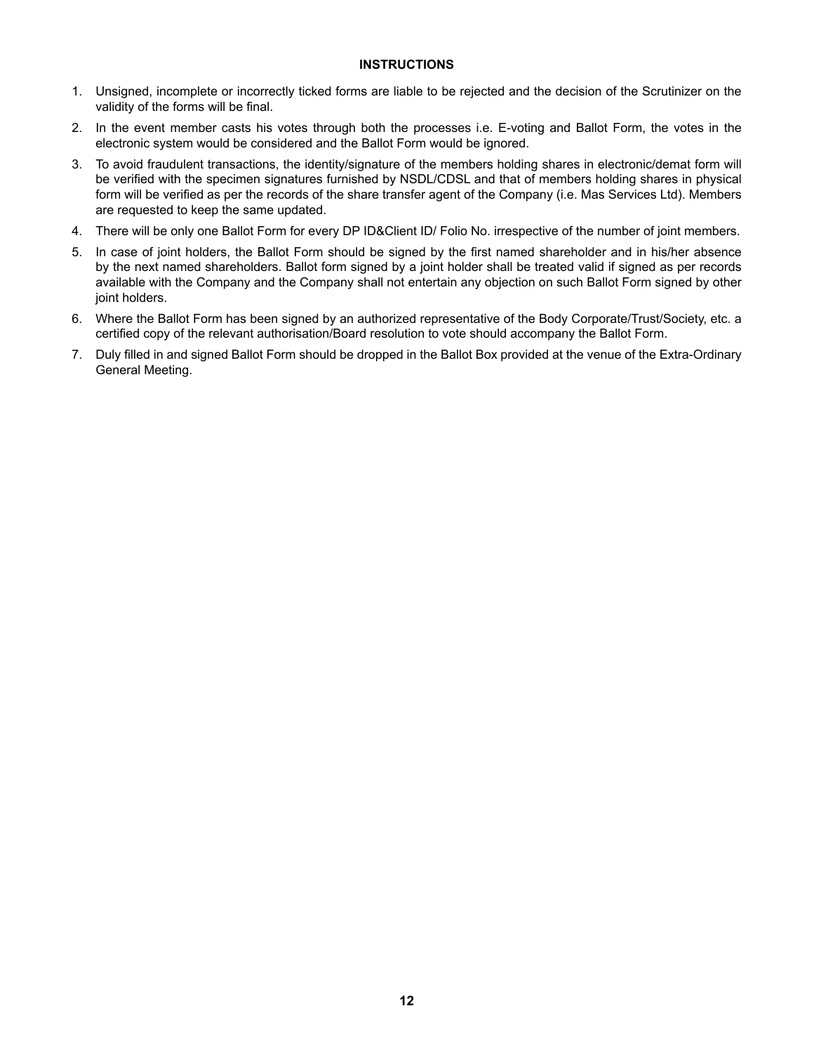### **INSTRUCTIONS**

- 1. Unsigned, incomplete or incorrectly ticked forms are liable to be rejected and the decision of the Scrutinizer on the validity of the forms will be final.
- 2. In the event member casts his votes through both the processes i.e. E-voting and Ballot Form, the votes in the electronic system would be considered and the Ballot Form would be ignored.
- 3. To avoid fraudulent transactions, the identity/signature of the members holding shares in electronic/demat form will be verified with the specimen signatures furnished by NSDL/CDSL and that of members holding shares in physical form will be verified as per the records of the share transfer agent of the Company (i.e. Mas Services Ltd). Members are requested to keep the same updated.
- 4. There will be only one Ballot Form for every DP ID&Client ID/ Folio No. irrespective of the number of joint members.
- 5. In case of joint holders, the Ballot Form should be signed by the first named shareholder and in his/her absence by the next named shareholders. Ballot form signed by a joint holder shall be treated valid if signed as per records available with the Company and the Company shall not entertain any objection on such Ballot Form signed by other joint holders.
- 6. Where the Ballot Form has been signed by an authorized representative of the Body Corporate/Trust/Society, etc. a certified copy of the relevant authorisation/Board resolution to vote should accompany the Ballot Form.
- 7. Duly filled in and signed Ballot Form should be dropped in the Ballot Box provided at the venue of the Extra-Ordinary General Meeting.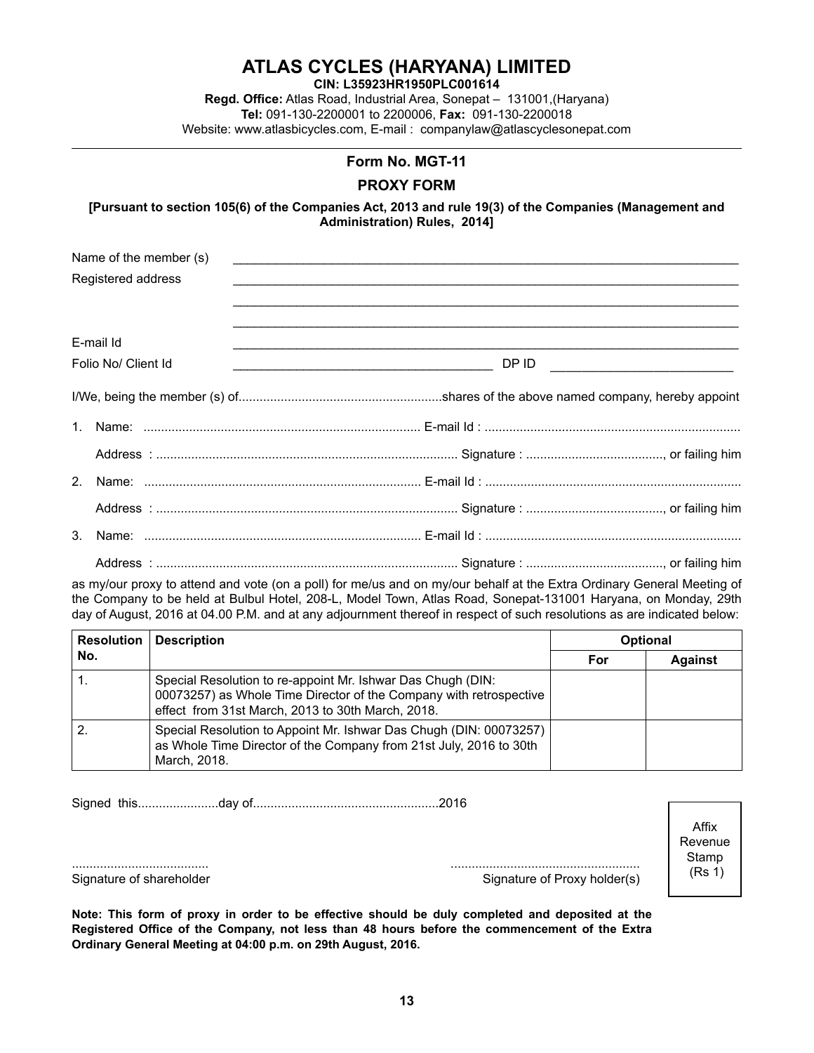|                        | Regd. Office: Atlas Road, Industrial Area, Sonepat - 131001, (Haryana)<br>Tel: 091-130-2200001 to 2200006, Fax: 091-130-2200018<br>Website: www.atlasbicycles.com, E-mail: companylaw@atlascyclesonepat.com |       |
|------------------------|-------------------------------------------------------------------------------------------------------------------------------------------------------------------------------------------------------------|-------|
|                        | Form No. MGT-11                                                                                                                                                                                             |       |
|                        | <b>PROXY FORM</b>                                                                                                                                                                                           |       |
|                        | [Pursuant to section 105(6) of the Companies Act, 2013 and rule 19(3) of the Companies (Management and<br>Administration) Rules, 2014]                                                                      |       |
| Name of the member (s) | <u> 1989 - John Stone, amerikansk politiker (d. 1989)</u>                                                                                                                                                   |       |
| Registered address     | <u> 1989 - Johann Barbara, marka a shekara ta 1989 - Anna a tsarann an tsarann an tsarann an tsarann an tsarann a</u>                                                                                       |       |
| E-mail Id              |                                                                                                                                                                                                             |       |
| Folio No/ Client Id    | <u> La Carlo Carlo Carlo Carlo Carlo Carlo Carlo Carlo Carlo Carlo Carlo Carlo Carlo Carlo Carlo Carlo Carlo Carlo</u>                                                                                      | DP ID |
|                        |                                                                                                                                                                                                             |       |
| 1.                     |                                                                                                                                                                                                             |       |
|                        |                                                                                                                                                                                                             |       |
| 2.                     |                                                                                                                                                                                                             |       |
|                        |                                                                                                                                                                                                             |       |
| 3.                     |                                                                                                                                                                                                             |       |
|                        |                                                                                                                                                                                                             |       |

**ATLAS CYCLES (HARYANA) LIMITED CIN: L35923HR1950PLC001614**

as my/our proxy to attend and vote (on a poll) for me/us and on my/our behalf at the Extra Ordinary General Meeting of the Company to be held at Bulbul Hotel, 208-L, Model Town, Atlas Road, Sonepat-131001 Haryana, on Monday, 29th day of August, 2016 at 04.00 P.M. and at any adjournment thereof in respect of such resolutions as are indicated below:

| Resolution | <b>Description</b>                                                                                                                                                                     | <b>Optional</b> |                |  |
|------------|----------------------------------------------------------------------------------------------------------------------------------------------------------------------------------------|-----------------|----------------|--|
| No.        |                                                                                                                                                                                        | For             | <b>Against</b> |  |
|            | Special Resolution to re-appoint Mr. Ishwar Das Chugh (DIN:<br>00073257) as Whole Time Director of the Company with retrospective<br>effect from 31st March, 2013 to 30th March, 2018. |                 |                |  |
|            | Special Resolution to Appoint Mr. Ishwar Das Chugh (DIN: 00073257)<br>as Whole Time Director of the Company from 21st July, 2016 to 30th<br>March, 2018.                               |                 |                |  |

Signed this.......................day of.....................................................2016

....................................... ...................................................... Signature of shareholder Signature of Shareholder Signature of Proxy holder(s)

Affix Revenue Stamp (Rs 1)

**Note: This form of proxy in order to be effective should be duly completed and deposited at the Registered Office of the Company, not less than 48 hours before the commencement of the Extra Ordinary General Meeting at 04:00 p.m. on 29th August, 2016.**